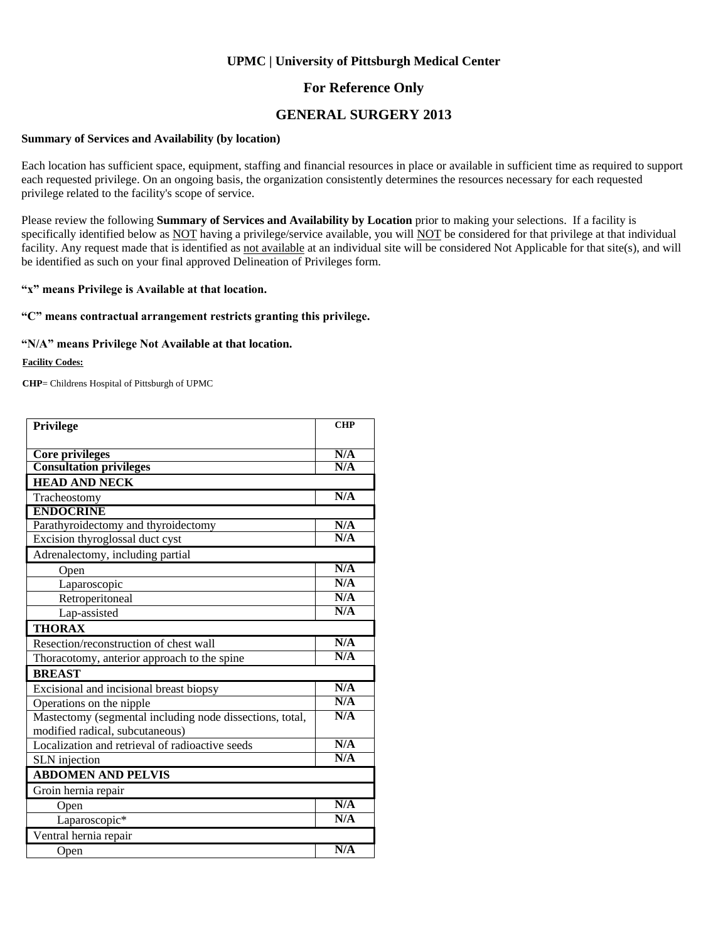### **For Reference Only**

### **GENERAL SURGERY 2013**

#### **Summary of Services and Availability (by location)**

Each location has sufficient space, equipment, staffing and financial resources in place or available in sufficient time as required to support each requested privilege. On an ongoing basis, the organization consistently determines the resources necessary for each requested privilege related to the facility's scope of service.

Please review the following **Summary of Services and Availability by Location** prior to making your selections. If a facility is specifically identified below as NOT having a privilege/service available, you will NOT be considered for that privilege at that individual facility. Any request made that is identified as not available at an individual site will be considered Not Applicable for that site(s), and will be identified as such on your final approved Delineation of Privileges form.

#### **"x" means Privilege is Available at that location.**

#### **"C" means contractual arrangement restricts granting this privilege.**

#### **"N/A" means Privilege Not Available at that location.**

#### **Facility Codes:**

**CHP**= Childrens Hospital of Pittsburgh of UPMC

| Privilege                                                | <b>CHP</b> |
|----------------------------------------------------------|------------|
|                                                          |            |
| <b>Core privileges</b>                                   | N/A        |
| <b>Consultation privileges</b>                           | N/A        |
| <b>HEAD AND NECK</b>                                     |            |
| Tracheostomy                                             | N/A        |
| <b>ENDOCRINE</b>                                         |            |
| Parathyroidectomy and thyroidectomy                      | N/A        |
| Excision thyroglossal duct cyst                          | N/A        |
| Adrenalectomy, including partial                         |            |
| Open                                                     | N/A        |
| Laparoscopic                                             | N/A        |
| Retroperitoneal                                          | N/A        |
| Lap-assisted                                             | N/A        |
| <b>THORAX</b>                                            |            |
| Resection/reconstruction of chest wall                   | N/A        |
| Thoracotomy, anterior approach to the spine              | N/A        |
| <b>BREAST</b>                                            |            |
| Excisional and incisional breast biopsy                  | N/A        |
| Operations on the nipple                                 | N/A        |
| Mastectomy (segmental including node dissections, total, | N/A        |
| modified radical, subcutaneous)                          |            |
| Localization and retrieval of radioactive seeds          | N/A        |
| SLN injection                                            | N/A        |
| <b>ABDOMEN AND PELVIS</b>                                |            |
| Groin hernia repair                                      |            |
| Open                                                     | N/A        |
| Laparoscopic*                                            | N/A        |
| Ventral hernia repair                                    |            |
| Open                                                     | N/A        |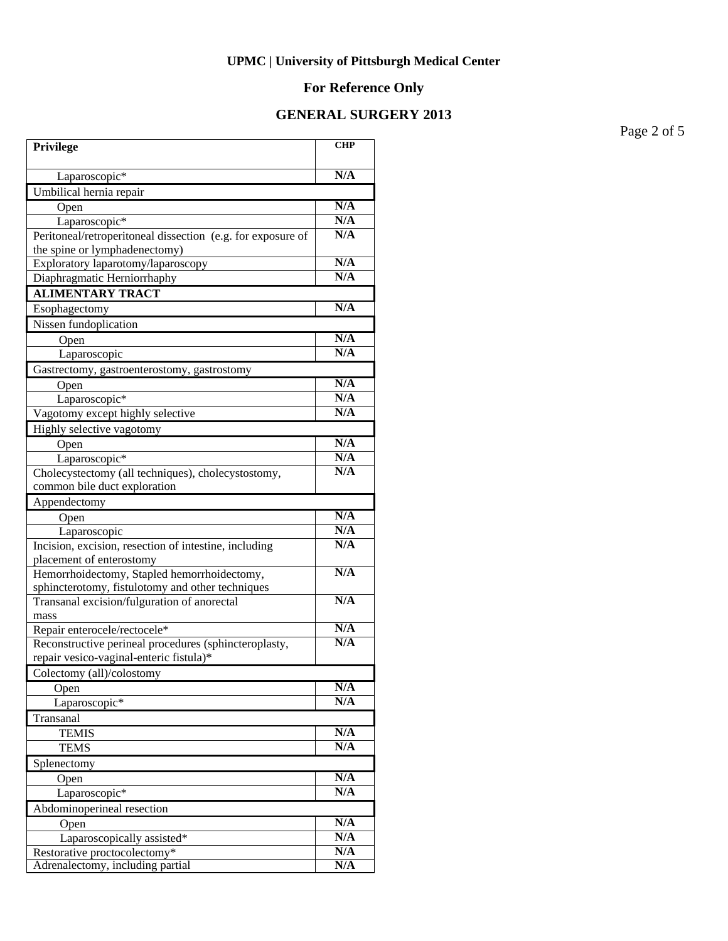# **For Reference Only**

# **GENERAL SURGERY 2013**

Page 2 of 5

| N/A<br>Laparoscopic*<br>Umbilical hernia repair<br>N/A<br>Open<br>N/A<br>Laparoscopic*<br>N/A<br>Peritoneal/retroperitoneal dissection (e.g. for exposure of<br>the spine or lymphadenectomy)<br>N/A<br>Exploratory laparotomy/laparoscopy<br>N/A<br>Diaphragmatic Herniorrhaphy<br><b>ALIMENTARY TRACT</b><br>N/A<br>Esophagectomy<br>Nissen fundoplication<br>N/A<br>Open<br>N/A<br>Laparoscopic<br>Gastrectomy, gastroenterostomy, gastrostomy<br>N/A<br>Open<br>N/A<br>Laparoscopic*<br>N/A<br>Vagotomy except highly selective<br>Highly selective vagotomy<br>N/A<br>Open<br>N/A<br>Laparoscopic*<br>N/A<br>Cholecystectomy (all techniques), cholecystostomy,<br>common bile duct exploration<br>Appendectomy<br>N/A<br>Open<br>N/A<br>Laparoscopic<br>N/A<br>Incision, excision, resection of intestine, including<br>placement of enterostomy<br>N/A<br>Hemorrhoidectomy, Stapled hemorrhoidectomy,<br>sphincterotomy, fistulotomy and other techniques<br>N/A<br>Transanal excision/fulguration of anorectal<br>mass<br>N/A<br>Repair enterocele/rectocele*<br>N/A<br>Reconstructive perineal procedures (sphincteroplasty,<br>repair vesico-vaginal-enteric fistula)*<br>Colectomy (all)/colostomy<br>N/A<br>Open<br>N/A<br>Laparoscopic*<br>Transanal<br>N/A<br><b>TEMIS</b><br>N/A<br><b>TEMS</b><br>Splenectomy<br>N/A<br>Open<br>N/A<br>Laparoscopic*<br>Abdominoperineal resection<br>N/A<br>Open<br>N/A<br>Laparoscopically assisted*<br>N/A<br>Restorative proctocolectomy*<br>Adrenalectomy, including partial<br>N/A | Privilege | $\overline{\text{CHP}}$ |
|------------------------------------------------------------------------------------------------------------------------------------------------------------------------------------------------------------------------------------------------------------------------------------------------------------------------------------------------------------------------------------------------------------------------------------------------------------------------------------------------------------------------------------------------------------------------------------------------------------------------------------------------------------------------------------------------------------------------------------------------------------------------------------------------------------------------------------------------------------------------------------------------------------------------------------------------------------------------------------------------------------------------------------------------------------------------------------------------------------------------------------------------------------------------------------------------------------------------------------------------------------------------------------------------------------------------------------------------------------------------------------------------------------------------------------------------------------------------------------------------------------------------------------------|-----------|-------------------------|
|                                                                                                                                                                                                                                                                                                                                                                                                                                                                                                                                                                                                                                                                                                                                                                                                                                                                                                                                                                                                                                                                                                                                                                                                                                                                                                                                                                                                                                                                                                                                          |           |                         |
|                                                                                                                                                                                                                                                                                                                                                                                                                                                                                                                                                                                                                                                                                                                                                                                                                                                                                                                                                                                                                                                                                                                                                                                                                                                                                                                                                                                                                                                                                                                                          |           |                         |
|                                                                                                                                                                                                                                                                                                                                                                                                                                                                                                                                                                                                                                                                                                                                                                                                                                                                                                                                                                                                                                                                                                                                                                                                                                                                                                                                                                                                                                                                                                                                          |           |                         |
|                                                                                                                                                                                                                                                                                                                                                                                                                                                                                                                                                                                                                                                                                                                                                                                                                                                                                                                                                                                                                                                                                                                                                                                                                                                                                                                                                                                                                                                                                                                                          |           |                         |
|                                                                                                                                                                                                                                                                                                                                                                                                                                                                                                                                                                                                                                                                                                                                                                                                                                                                                                                                                                                                                                                                                                                                                                                                                                                                                                                                                                                                                                                                                                                                          |           |                         |
|                                                                                                                                                                                                                                                                                                                                                                                                                                                                                                                                                                                                                                                                                                                                                                                                                                                                                                                                                                                                                                                                                                                                                                                                                                                                                                                                                                                                                                                                                                                                          |           |                         |
|                                                                                                                                                                                                                                                                                                                                                                                                                                                                                                                                                                                                                                                                                                                                                                                                                                                                                                                                                                                                                                                                                                                                                                                                                                                                                                                                                                                                                                                                                                                                          |           |                         |
|                                                                                                                                                                                                                                                                                                                                                                                                                                                                                                                                                                                                                                                                                                                                                                                                                                                                                                                                                                                                                                                                                                                                                                                                                                                                                                                                                                                                                                                                                                                                          |           |                         |
|                                                                                                                                                                                                                                                                                                                                                                                                                                                                                                                                                                                                                                                                                                                                                                                                                                                                                                                                                                                                                                                                                                                                                                                                                                                                                                                                                                                                                                                                                                                                          |           |                         |
|                                                                                                                                                                                                                                                                                                                                                                                                                                                                                                                                                                                                                                                                                                                                                                                                                                                                                                                                                                                                                                                                                                                                                                                                                                                                                                                                                                                                                                                                                                                                          |           |                         |
|                                                                                                                                                                                                                                                                                                                                                                                                                                                                                                                                                                                                                                                                                                                                                                                                                                                                                                                                                                                                                                                                                                                                                                                                                                                                                                                                                                                                                                                                                                                                          |           |                         |
|                                                                                                                                                                                                                                                                                                                                                                                                                                                                                                                                                                                                                                                                                                                                                                                                                                                                                                                                                                                                                                                                                                                                                                                                                                                                                                                                                                                                                                                                                                                                          |           |                         |
|                                                                                                                                                                                                                                                                                                                                                                                                                                                                                                                                                                                                                                                                                                                                                                                                                                                                                                                                                                                                                                                                                                                                                                                                                                                                                                                                                                                                                                                                                                                                          |           |                         |
|                                                                                                                                                                                                                                                                                                                                                                                                                                                                                                                                                                                                                                                                                                                                                                                                                                                                                                                                                                                                                                                                                                                                                                                                                                                                                                                                                                                                                                                                                                                                          |           |                         |
|                                                                                                                                                                                                                                                                                                                                                                                                                                                                                                                                                                                                                                                                                                                                                                                                                                                                                                                                                                                                                                                                                                                                                                                                                                                                                                                                                                                                                                                                                                                                          |           |                         |
|                                                                                                                                                                                                                                                                                                                                                                                                                                                                                                                                                                                                                                                                                                                                                                                                                                                                                                                                                                                                                                                                                                                                                                                                                                                                                                                                                                                                                                                                                                                                          |           |                         |
|                                                                                                                                                                                                                                                                                                                                                                                                                                                                                                                                                                                                                                                                                                                                                                                                                                                                                                                                                                                                                                                                                                                                                                                                                                                                                                                                                                                                                                                                                                                                          |           |                         |
|                                                                                                                                                                                                                                                                                                                                                                                                                                                                                                                                                                                                                                                                                                                                                                                                                                                                                                                                                                                                                                                                                                                                                                                                                                                                                                                                                                                                                                                                                                                                          |           |                         |
|                                                                                                                                                                                                                                                                                                                                                                                                                                                                                                                                                                                                                                                                                                                                                                                                                                                                                                                                                                                                                                                                                                                                                                                                                                                                                                                                                                                                                                                                                                                                          |           |                         |
|                                                                                                                                                                                                                                                                                                                                                                                                                                                                                                                                                                                                                                                                                                                                                                                                                                                                                                                                                                                                                                                                                                                                                                                                                                                                                                                                                                                                                                                                                                                                          |           |                         |
|                                                                                                                                                                                                                                                                                                                                                                                                                                                                                                                                                                                                                                                                                                                                                                                                                                                                                                                                                                                                                                                                                                                                                                                                                                                                                                                                                                                                                                                                                                                                          |           |                         |
|                                                                                                                                                                                                                                                                                                                                                                                                                                                                                                                                                                                                                                                                                                                                                                                                                                                                                                                                                                                                                                                                                                                                                                                                                                                                                                                                                                                                                                                                                                                                          |           |                         |
|                                                                                                                                                                                                                                                                                                                                                                                                                                                                                                                                                                                                                                                                                                                                                                                                                                                                                                                                                                                                                                                                                                                                                                                                                                                                                                                                                                                                                                                                                                                                          |           |                         |
|                                                                                                                                                                                                                                                                                                                                                                                                                                                                                                                                                                                                                                                                                                                                                                                                                                                                                                                                                                                                                                                                                                                                                                                                                                                                                                                                                                                                                                                                                                                                          |           |                         |
|                                                                                                                                                                                                                                                                                                                                                                                                                                                                                                                                                                                                                                                                                                                                                                                                                                                                                                                                                                                                                                                                                                                                                                                                                                                                                                                                                                                                                                                                                                                                          |           |                         |
|                                                                                                                                                                                                                                                                                                                                                                                                                                                                                                                                                                                                                                                                                                                                                                                                                                                                                                                                                                                                                                                                                                                                                                                                                                                                                                                                                                                                                                                                                                                                          |           |                         |
|                                                                                                                                                                                                                                                                                                                                                                                                                                                                                                                                                                                                                                                                                                                                                                                                                                                                                                                                                                                                                                                                                                                                                                                                                                                                                                                                                                                                                                                                                                                                          |           |                         |
|                                                                                                                                                                                                                                                                                                                                                                                                                                                                                                                                                                                                                                                                                                                                                                                                                                                                                                                                                                                                                                                                                                                                                                                                                                                                                                                                                                                                                                                                                                                                          |           |                         |
|                                                                                                                                                                                                                                                                                                                                                                                                                                                                                                                                                                                                                                                                                                                                                                                                                                                                                                                                                                                                                                                                                                                                                                                                                                                                                                                                                                                                                                                                                                                                          |           |                         |
|                                                                                                                                                                                                                                                                                                                                                                                                                                                                                                                                                                                                                                                                                                                                                                                                                                                                                                                                                                                                                                                                                                                                                                                                                                                                                                                                                                                                                                                                                                                                          |           |                         |
|                                                                                                                                                                                                                                                                                                                                                                                                                                                                                                                                                                                                                                                                                                                                                                                                                                                                                                                                                                                                                                                                                                                                                                                                                                                                                                                                                                                                                                                                                                                                          |           |                         |
|                                                                                                                                                                                                                                                                                                                                                                                                                                                                                                                                                                                                                                                                                                                                                                                                                                                                                                                                                                                                                                                                                                                                                                                                                                                                                                                                                                                                                                                                                                                                          |           |                         |
|                                                                                                                                                                                                                                                                                                                                                                                                                                                                                                                                                                                                                                                                                                                                                                                                                                                                                                                                                                                                                                                                                                                                                                                                                                                                                                                                                                                                                                                                                                                                          |           |                         |
|                                                                                                                                                                                                                                                                                                                                                                                                                                                                                                                                                                                                                                                                                                                                                                                                                                                                                                                                                                                                                                                                                                                                                                                                                                                                                                                                                                                                                                                                                                                                          |           |                         |
|                                                                                                                                                                                                                                                                                                                                                                                                                                                                                                                                                                                                                                                                                                                                                                                                                                                                                                                                                                                                                                                                                                                                                                                                                                                                                                                                                                                                                                                                                                                                          |           |                         |
|                                                                                                                                                                                                                                                                                                                                                                                                                                                                                                                                                                                                                                                                                                                                                                                                                                                                                                                                                                                                                                                                                                                                                                                                                                                                                                                                                                                                                                                                                                                                          |           |                         |
|                                                                                                                                                                                                                                                                                                                                                                                                                                                                                                                                                                                                                                                                                                                                                                                                                                                                                                                                                                                                                                                                                                                                                                                                                                                                                                                                                                                                                                                                                                                                          |           |                         |
|                                                                                                                                                                                                                                                                                                                                                                                                                                                                                                                                                                                                                                                                                                                                                                                                                                                                                                                                                                                                                                                                                                                                                                                                                                                                                                                                                                                                                                                                                                                                          |           |                         |
|                                                                                                                                                                                                                                                                                                                                                                                                                                                                                                                                                                                                                                                                                                                                                                                                                                                                                                                                                                                                                                                                                                                                                                                                                                                                                                                                                                                                                                                                                                                                          |           |                         |
|                                                                                                                                                                                                                                                                                                                                                                                                                                                                                                                                                                                                                                                                                                                                                                                                                                                                                                                                                                                                                                                                                                                                                                                                                                                                                                                                                                                                                                                                                                                                          |           |                         |
|                                                                                                                                                                                                                                                                                                                                                                                                                                                                                                                                                                                                                                                                                                                                                                                                                                                                                                                                                                                                                                                                                                                                                                                                                                                                                                                                                                                                                                                                                                                                          |           |                         |
|                                                                                                                                                                                                                                                                                                                                                                                                                                                                                                                                                                                                                                                                                                                                                                                                                                                                                                                                                                                                                                                                                                                                                                                                                                                                                                                                                                                                                                                                                                                                          |           |                         |
|                                                                                                                                                                                                                                                                                                                                                                                                                                                                                                                                                                                                                                                                                                                                                                                                                                                                                                                                                                                                                                                                                                                                                                                                                                                                                                                                                                                                                                                                                                                                          |           |                         |
|                                                                                                                                                                                                                                                                                                                                                                                                                                                                                                                                                                                                                                                                                                                                                                                                                                                                                                                                                                                                                                                                                                                                                                                                                                                                                                                                                                                                                                                                                                                                          |           |                         |
|                                                                                                                                                                                                                                                                                                                                                                                                                                                                                                                                                                                                                                                                                                                                                                                                                                                                                                                                                                                                                                                                                                                                                                                                                                                                                                                                                                                                                                                                                                                                          |           |                         |
|                                                                                                                                                                                                                                                                                                                                                                                                                                                                                                                                                                                                                                                                                                                                                                                                                                                                                                                                                                                                                                                                                                                                                                                                                                                                                                                                                                                                                                                                                                                                          |           |                         |
|                                                                                                                                                                                                                                                                                                                                                                                                                                                                                                                                                                                                                                                                                                                                                                                                                                                                                                                                                                                                                                                                                                                                                                                                                                                                                                                                                                                                                                                                                                                                          |           |                         |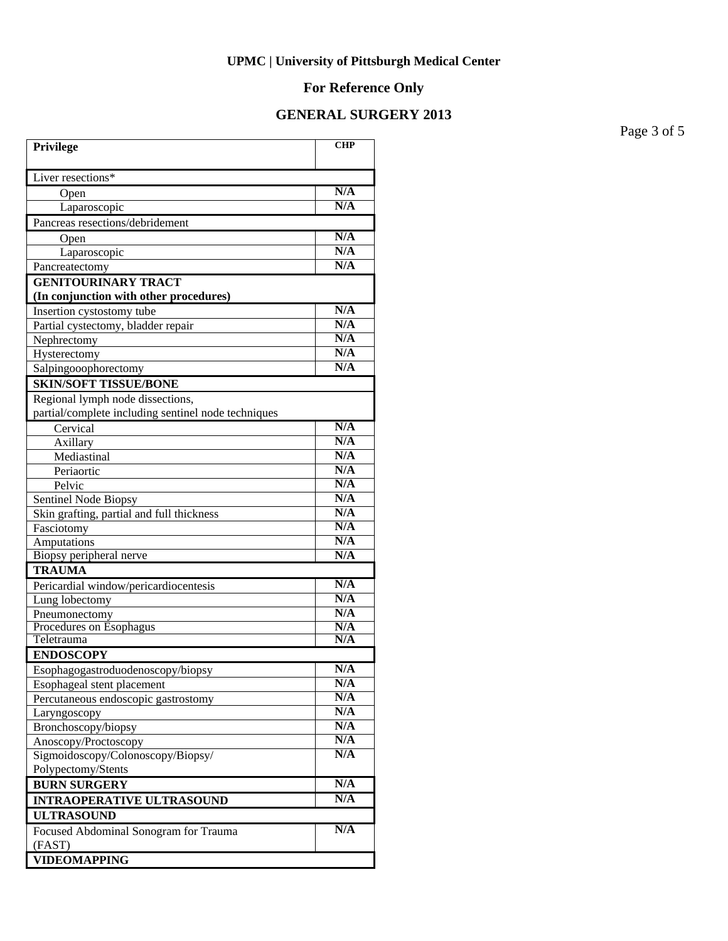#### **For Reference Only**

### **GENERAL SURGERY 2013**

**Privilege CHP** Liver resections\* Open **N/A**  Laparoscopic **N/A** Pancreas resections/debridement Open **N/A** Laparoscopic **N/A**<br>reatectomy N/A Pancreatectomy **GENITOURINARY TRACT (In conjunction with other procedures) Insertion cystostomy tube N/A**<br> **Partial cystectomy bladder repair** N/A Partial cystectomy, bladder repair **N/A**<br>Nephrectomy **N/A** Nephrectomy **N/A**<br>Hysterectomy **N/A** Hysterectomy **N/A**<br>Salpingooophorectomy **N/A** Salpingooophorectomy **SKIN/SOFT TISSUE/BONE** Regional lymph node dissections, partial/complete including sentinel node techniques Cervical **N/A** Axillary **N/A** Mediastinal **N/A**<br>Periaortic **N/A** Periaortic Pelvic **N/A** Sentinel Node Biopsy<br>Skin grafting, partial and full thickness<br>N/A Skin grafting, partial and full thickness Fasciotomy **N/A** Amputations **N/A** Biopsy peripheral nerve **N/A TRAUMA** Pericardial window/pericardiocentesis **N/A** Lung lobectomy **N/A**<br>Pneumonectomy **N/A** Pneumonectomy **N/A**<br>Procedures on Esophagus **N/A** Procedures on Esophagus **N/A**<br>
Teletrauma **N/A Teletrauma ENDOSCOPY** Esophagogastroduodenoscopy/biopsy **N/A** Esophageal stent placement **N/A**<br> **Percutaneous endoscopic gastrostomy** N/A Percutaneous endoscopic gastrostomy **N/A**<br>
Larvngoscopy **N/A** Laryngoscopy **N/A** Bronchoscopy/biopsy **N/A**<br>Anosconv/Proctoscopy **N/A** Anoscopy/Proctoscopy Sigmoidoscopy/Colonoscopy/Biopsy/ Polypectomy/Stents **N/A BURN SURGERY** N/A **INTRAOPERATIVE ULTRASOUND N/A ULTRASOUND** Focused Abdominal Sonogram for Trauma (FAST) **N/A VIDEOMAPPING**

Page 3 of 5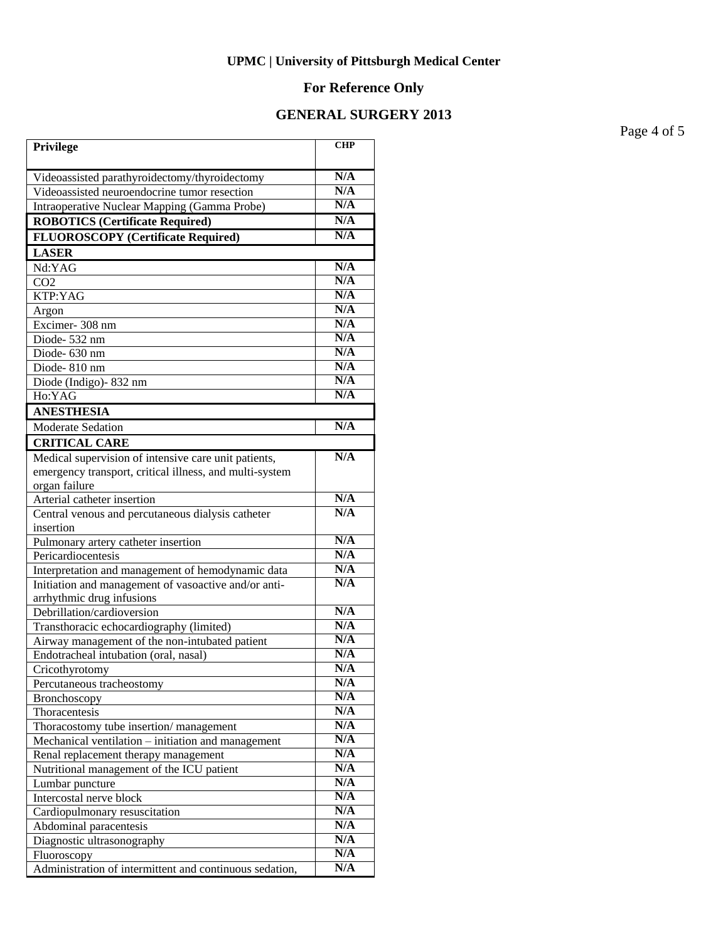# **For Reference Only**

# **GENERAL SURGERY 2013**

Page 4 of 5

| Privilege                                                                         | <b>CHP</b> |
|-----------------------------------------------------------------------------------|------------|
| Videoassisted parathyroidectomy/thyroidectomy                                     | N/A        |
| Videoassisted neuroendocrine tumor resection                                      | N/A        |
| Intraoperative Nuclear Mapping (Gamma Probe)                                      | N/A        |
| <b>ROBOTICS (Certificate Required)</b>                                            | N/A        |
| <b>FLUOROSCOPY</b> (Certificate Required)                                         | N/A        |
| <b>LASER</b>                                                                      |            |
| $Nd:YA\overline{G}$                                                               | N/A        |
| CO <sub>2</sub>                                                                   | N/A        |
| KTP:YAG                                                                           | N/A        |
| Argon                                                                             | N/A        |
| Excimer-308 nm                                                                    | N/A        |
| Diode-532 nm                                                                      | N/A        |
| Diode- 630 nm                                                                     | N/A        |
| Diode-810 nm                                                                      | N/A        |
| Diode (Indigo)-832 nm                                                             | N/A        |
| Ho:YAG                                                                            | N/A        |
| <b>ANESTHESIA</b>                                                                 |            |
| Moderate Sedation                                                                 | N/A        |
| <b>CRITICAL CARE</b>                                                              |            |
| Medical supervision of intensive care unit patients,                              | N/A        |
| emergency transport, critical illness, and multi-system                           |            |
| organ failure                                                                     |            |
| Arterial catheter insertion                                                       | N/A        |
| Central venous and percutaneous dialysis catheter                                 | N/A        |
| insertion                                                                         | N/A        |
| Pulmonary artery catheter insertion                                               | N/A        |
| Pericardiocentesis                                                                | N/A        |
| Interpretation and management of hemodynamic data                                 | N/A        |
| Initiation and management of vasoactive and/or anti-<br>arrhythmic drug infusions |            |
| Debrillation/cardioversion                                                        | N/A        |
| Transthoracic echocardiography (limited)                                          | N/A        |
| Airway management of the non-intubated patient                                    | N/A        |
| Endotracheal intubation (oral, nasal)                                             | N/A        |
| Cricothyrotomy                                                                    | N/A        |
| Percutaneous tracheostomy                                                         | N/A        |
| Bronchoscopy                                                                      | N/A        |
| Thoracentesis                                                                     | N/A        |
| Thoracostomy tube insertion/management                                            | N/A        |
| Mechanical ventilation - initiation and management                                | N/A        |
| Renal replacement therapy management                                              | N/A        |
| Nutritional management of the ICU patient                                         | N/A        |
| Lumbar puncture                                                                   | N/A        |
| Intercostal nerve block                                                           | N/A        |
| Cardiopulmonary resuscitation                                                     | N/A        |
| Abdominal paracentesis                                                            | N/A        |
| Diagnostic ultrasonography                                                        | N/A        |
| Fluoroscopy                                                                       | N/A        |
| Administration of intermittent and continuous sedation,                           | N/A        |